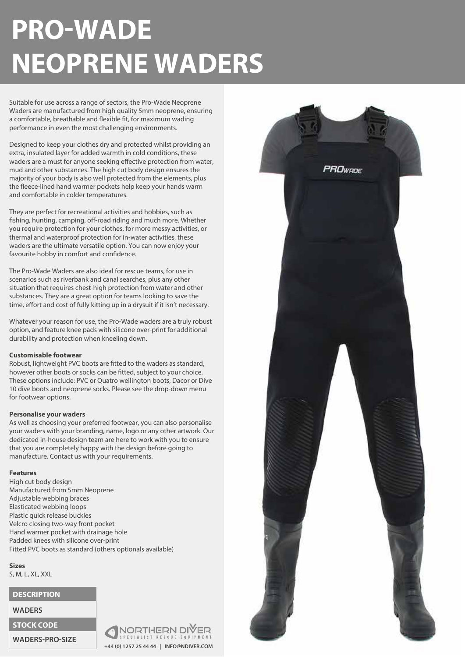# **PRO-WADE NEOPRENE WADERS**

Suitable for use across a range of sectors, the Pro-Wade Neoprene Waders are manufactured from high quality 5mm neoprene, ensuring a comfortable, breathable and flexible fit, for maximum wading performance in even the most challenging environments.

Designed to keep your clothes dry and protected whilst providing an extra, insulated layer for added warmth in cold conditions, these waders are a must for anyone seeking effective protection from water, mud and other substances. The high cut body design ensures the majority of your body is also well protected from the elements, plus the fleece-lined hand warmer pockets help keep your hands warm and comfortable in colder temperatures.

They are perfect for recreational activities and hobbies, such as fishing, hunting, camping, off-road riding and much more. Whether you require protection for your clothes, for more messy activities, or thermal and waterproof protection for in-water activities, these waders are the ultimate versatile option. You can now enjoy your favourite hobby in comfort and confidence.

The Pro-Wade Waders are also ideal for rescue teams, for use in scenarios such as riverbank and canal searches, plus any other situation that requires chest-high protection from water and other substances. They are a great option for teams looking to save the time, effort and cost of fully kitting up in a drysuit if it isn't necessary.

Whatever your reason for use, the Pro-Wade waders are a truly robust option, and feature knee pads with silicone over-print for additional durability and protection when kneeling down.

#### **Customisable footwear**

Robust, lightweight PVC boots are fitted to the waders as standard, however other boots or socks can be fitted, subject to your choice. These options include: PVC or Quatro wellington boots, Dacor or Dive 10 dive boots and neoprene socks. Please see the drop-down menu for footwear options.

#### **Personalise your waders**

As well as choosing your preferred footwear, you can also personalise your waders with your branding, name, logo or any other artwork. Our dedicated in-house design team are here to work with you to ensure that you are completely happy with the design before going to manufacture. Contact us with your requirements.

#### **Features**

High cut body design Manufactured from 5mm Neoprene Adjustable webbing braces Elasticated webbing loops Plastic quick release buckles Velcro closing two-way front pocket Hand warmer pocket with drainage hole Padded knees with silicone over-print Fitted PVC boots as standard (others optionals available)

**Sizes** S, M, L, XL, XXL

### **DESCRIPTION**

**WADERS**

## **STOCK CODE**

**WADERS-PRO-SIZE**